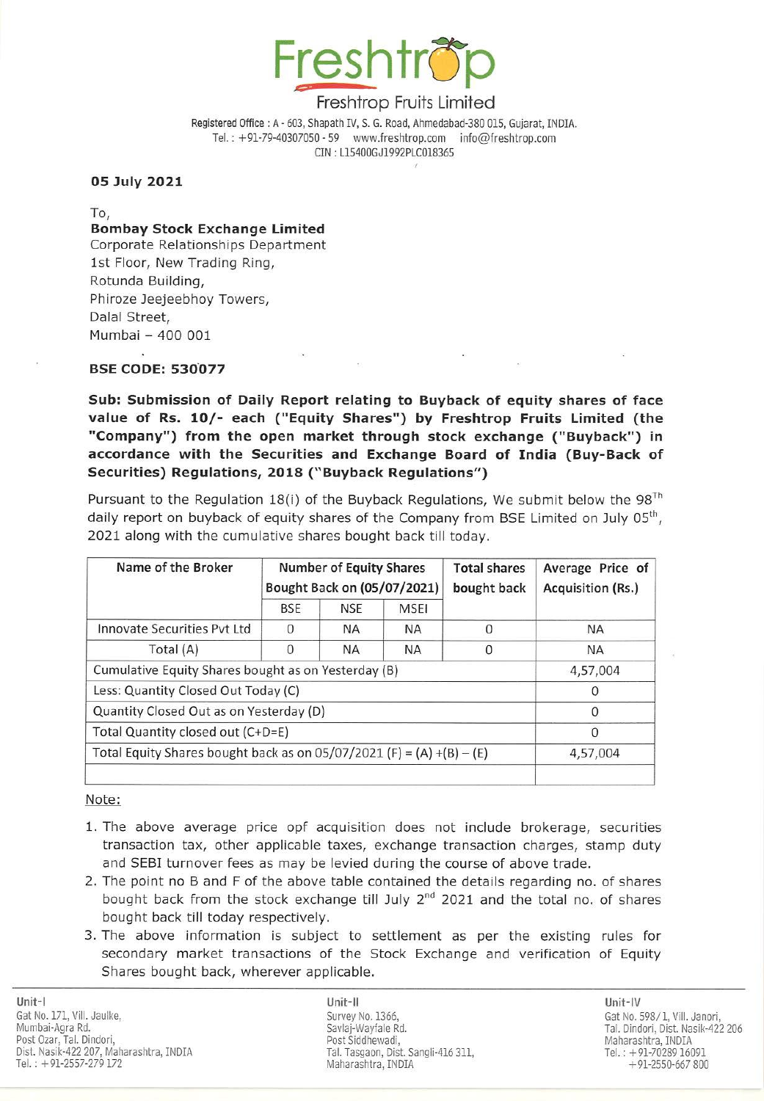

## Freshtrop Fruits Limited

## 05 July 2021

Bombay Stock Exchange Limited Corporate Relationships Department 1st Floor, New Trading Ring, Rotunda Building, Phiroze Jeejeebhoy Towers, Dalal Street, Mumbai — 400 001 Freshftre Registered Office : A - 603, Shapath IV, S.<br>
Freshftre Registered Office : A - 603, Shapath IV, S.<br>
Tel. : +91-79-40307050 - 59 www.<br>
CIN : L15400<br> **O5 July 2021**<br>
To,<br> **Bombay Stock Exchange Limited**<br>
Corporate Freshitred Office : A - 603, Shapath IV, S.<br>
Feshitred Office : A - 603, Shapath IV, S.<br>
Tel. : +91-79-40307050-59 www.<br>
CIN : L15400<br> **OS July 2021**<br>
To,<br> **Bombay Stock Exchange Limited**<br>
Corporate Relationships Departmen Freshftr<br>
Freshftr<br>
Registered Office : A - 603, Shapath IV, s.<br>
Tel. : +91-79-40307050 - 59<br>
W.<br>
CIN : LI5400<br>
O5 July 2021<br>
To,<br>
Bombay Stock Exchange Limited<br>
Corporate Relationships Department<br>
1st Floor, New Trading R

## BSE CODE: 530077

|                                                                                                                                                                                                           |              |                                           | Freshtrop Fruits Limited |                                                                                        |                          |
|-----------------------------------------------------------------------------------------------------------------------------------------------------------------------------------------------------------|--------------|-------------------------------------------|--------------------------|----------------------------------------------------------------------------------------|--------------------------|
|                                                                                                                                                                                                           |              | CIN: L15400GJ1992PLC018365                |                          | Registered Office: A - 603, Shapath IV, S. G. Road, Ahmedabad-380 015, Gujarat, INDIA. |                          |
| 05 July 2021                                                                                                                                                                                              |              |                                           |                          |                                                                                        |                          |
| To,<br><b>Bombay Stock Exchange Limited</b><br>Corporate Relationships Department<br>1st Floor, New Trading Ring,<br>Rotunda Building,<br>Phiroze Jeejeebhoy Towers,<br>Dalal Street,<br>Mumbai - 400 001 |              |                                           |                          |                                                                                        |                          |
| <b>BSE CODE: 530077</b>                                                                                                                                                                                   |              |                                           |                          |                                                                                        |                          |
| Pursuant to the Regulation 18(i) of the Buyback Regulations, We submit below the 98 <sup>1</sup><br>daily report on buyback of equity shares of the Company from BSE Limited on July 05 <sup>th</sup>     |              |                                           |                          |                                                                                        |                          |
|                                                                                                                                                                                                           |              |                                           |                          |                                                                                        |                          |
| Name of the Broker                                                                                                                                                                                        |              | <b>Number of Equity Shares</b>            |                          | <b>Total shares</b>                                                                    | Average Price of         |
|                                                                                                                                                                                                           | <b>BSE</b>   | Bought Back on (05/07/2021)<br><b>NSE</b> | <b>MSEI</b>              | bought back                                                                            | <b>Acquisition (Rs.)</b> |
| <b>Innovate Securities Pvt Ltd</b>                                                                                                                                                                        | 0            | NA.                                       | <b>NA</b>                | 0                                                                                      | <b>NA</b>                |
| Total (A)                                                                                                                                                                                                 | $\mathbf{0}$ | <b>NA</b>                                 | <b>NA</b>                | 0                                                                                      | <b>NA</b>                |
| Cumulative Equity Shares bought as on Yesterday (B)                                                                                                                                                       |              |                                           |                          |                                                                                        |                          |
| 2021 along with the cumulative shares bought back till today.<br>Less: Quantity Closed Out Today (C)                                                                                                      |              |                                           |                          |                                                                                        | 4,57,004<br>$\mathbf 0$  |
| Quantity Closed Out as on Yesterday (D)                                                                                                                                                                   |              |                                           |                          |                                                                                        | $\boldsymbol{0}$         |
| Total Quantity closed out (C+D=E)                                                                                                                                                                         |              |                                           |                          |                                                                                        | $\mathbf{0}$             |
| Total Equity Shares bought back as on $05/07/2021$ (F) = (A) +(B) – (E)                                                                                                                                   |              |                                           |                          |                                                                                        |                          |
| Note:                                                                                                                                                                                                     |              |                                           |                          |                                                                                        | 4,57,004                 |

## |<br><u>Note:</u>

- 1. The above average price opf acquisition does not include brokerage, securities transaction tax, other applicable taxes, exchange transaction charges, stamp duty and SEBI turnover fees as may be levied during the course of above trade.
- 2. The point no B and F of the above table contained the details regarding no. of shares bought back from the stock exchange till July  $2<sup>nd</sup>$  2021 and the total no. of shares bought back till today respectively.
- 3. The above information is subject to settlement as per the existing rules for secondary market transactions of the Stock Exchange and verification of Equity Shares bought back, wherever applicable.

Unit-| Unit-Il Unit-IV Gat No. 171, Vill. Jaulke, Survey No. 1366, Survey No. 1366, Gat No. 598/1, Vill. Janori, Mumbai-Agra Rd. Savlaj-Wayfale Rd. Tal. Dindori, Dist. Nasik-422 206 Post Ozar, Tal. Dindori, Post Siddhewadi, Post Siddhewadi, Post Siddhewadi, Post Siddhewadi, Post Siddhewadi, Post Siddhewadi, Post Siddhewadi, Post Siddhewadi, Post Siddhewadi, Post Siddhewadi, Post Siddhewadi, Post Siddh 91-70289 16091 91-12557-279 172 Maharashtra, INDIA 191-70289 16091 172 Maharashtra, INDIA 191-70289 16091 172 Maharashtra, INDIA 191-70289 16091 172 Maharashtra, INDIA 191-70289 16091 172 Maharashtra, INDIA 191-2550-667 80